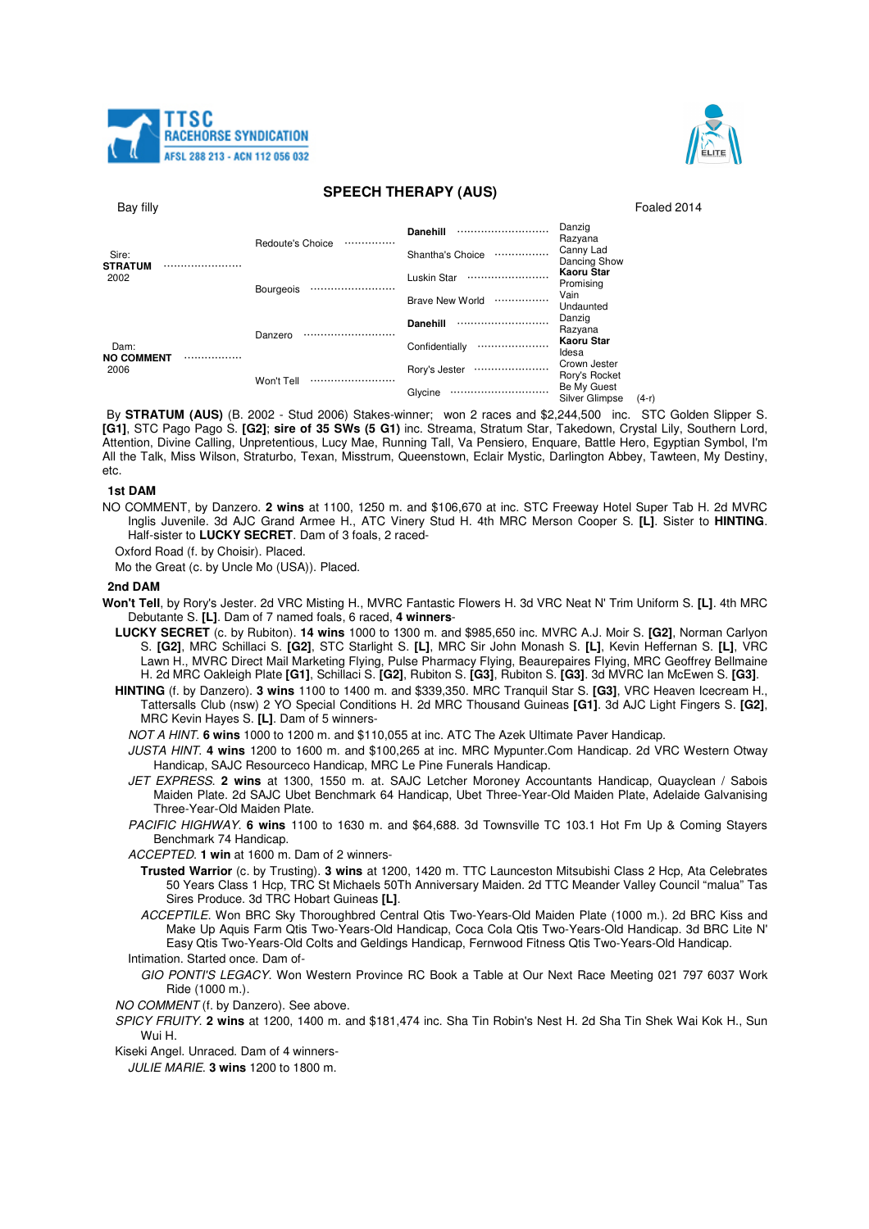



## **SPEECH THERAPY (AUS)**

| Bay filly                             |                       |                            | Foaled 2014                                     |
|---------------------------------------|-----------------------|----------------------------|-------------------------------------------------|
| Sire:<br><b>STRATUM</b><br>2002       |                       | <b>Danehill</b><br>        | Danzig<br>Razyana                               |
|                                       | Redoute's Choice<br>  | Shantha's Choice<br>       | Canny Lad<br>Dancing Show                       |
|                                       | <b>Bourgeois</b><br>. | Luskin Star<br>            | Kaoru Star<br>Promising                         |
|                                       |                       | <b>Brave New World</b><br> | Vain<br>Undaunted                               |
| Dam:<br><b>NO COMMENT</b><br><br>2006 | Danzero<br>           | <b>Danehill</b><br>        | Danzig<br>Razyana                               |
|                                       |                       | Confidentially<br>         | <b>Kaoru Star</b><br>Idesa                      |
|                                       | Won't Tell<br>        | Rory's Jester<br>          | Crown Jester<br>Rory's Rocket                   |
|                                       |                       | Glycine<br>                | Be My Guest<br><b>Silver Glimpse</b><br>$(4-r)$ |

By **STRATUM (AUS)** (B. 2002 - Stud 2006) Stakes-winner; won 2 races and \$2,244,500 inc. STC Golden Slipper S. **[G1]**, STC Pago Pago S. **[G2]**; **sire of 35 SWs (5 G1)** inc. Streama, Stratum Star, Takedown, Crystal Lily, Southern Lord, Attention, Divine Calling, Unpretentious, Lucy Mae, Running Tall, Va Pensiero, Enquare, Battle Hero, Egyptian Symbol, I'm All the Talk, Miss Wilson, Straturbo, Texan, Misstrum, Queenstown, Eclair Mystic, Darlington Abbey, Tawteen, My Destiny, etc.

#### **1st DAM**

NO COMMENT, by Danzero. **2 wins** at 1100, 1250 m. and \$106,670 at inc. STC Freeway Hotel Super Tab H. 2d MVRC Inglis Juvenile. 3d AJC Grand Armee H., ATC Vinery Stud H. 4th MRC Merson Cooper S. **[L]**. Sister to **HINTING**. Half-sister to **LUCKY SECRET**. Dam of 3 foals, 2 raced-

Oxford Road (f. by Choisir). Placed.

Mo the Great (c. by Uncle Mo (USA)). Placed.

### **2nd DAM**

- **Won't Tell**, by Rory's Jester. 2d VRC Misting H., MVRC Fantastic Flowers H. 3d VRC Neat N' Trim Uniform S. **[L]**. 4th MRC Debutante S. **[L]**. Dam of 7 named foals, 6 raced, **4 winners**-
	- **LUCKY SECRET** (c. by Rubiton). **14 wins** 1000 to 1300 m. and \$985,650 inc. MVRC A.J. Moir S. **[G2]**, Norman Carlyon S. **[G2]**, MRC Schillaci S. **[G2]**, STC Starlight S. **[L]**, MRC Sir John Monash S. **[L]**, Kevin Heffernan S. **[L]**, VRC Lawn H., MVRC Direct Mail Marketing Flying, Pulse Pharmacy Flying, Beaurepaires Flying, MRC Geoffrey Bellmaine H. 2d MRC Oakleigh Plate **[G1]**, Schillaci S. **[G2]**, Rubiton S. **[G3]**, Rubiton S. **[G3]**. 3d MVRC Ian McEwen S. **[G3]**.
	- **HINTING** (f. by Danzero). **3 wins** 1100 to 1400 m. and \$339,350. MRC Tranquil Star S. **[G3]**, VRC Heaven Icecream H., Tattersalls Club (nsw) 2 YO Special Conditions H. 2d MRC Thousand Guineas **[G1]**. 3d AJC Light Fingers S. **[G2]**, MRC Kevin Hayes S. **[L]**. Dam of 5 winners-
		- NOT A HINT. **6 wins** 1000 to 1200 m. and \$110,055 at inc. ATC The Azek Ultimate Paver Handicap.
		- JUSTA HINT. **4 wins** 1200 to 1600 m. and \$100,265 at inc. MRC Mypunter.Com Handicap. 2d VRC Western Otway Handicap, SAJC Resourceco Handicap, MRC Le Pine Funerals Handicap.
		- JET EXPRESS. **2 wins** at 1300, 1550 m. at. SAJC Letcher Moroney Accountants Handicap, Quayclean / Sabois Maiden Plate. 2d SAJC Ubet Benchmark 64 Handicap, Ubet Three-Year-Old Maiden Plate, Adelaide Galvanising Three-Year-Old Maiden Plate.
		- PACIFIC HIGHWAY. **6 wins** 1100 to 1630 m. and \$64,688. 3d Townsville TC 103.1 Hot Fm Up & Coming Stayers Benchmark 74 Handicap.
		- ACCEPTED. **1 win** at 1600 m. Dam of 2 winners-
			- **Trusted Warrior** (c. by Trusting). **3 wins** at 1200, 1420 m. TTC Launceston Mitsubishi Class 2 Hcp, Ata Celebrates 50 Years Class 1 Hcp, TRC St Michaels 50Th Anniversary Maiden. 2d TTC Meander Valley Council "malua" Tas Sires Produce. 3d TRC Hobart Guineas **[L]**.
		- ACCEPTILE. Won BRC Sky Thoroughbred Central Qtis Two-Years-Old Maiden Plate (1000 m.). 2d BRC Kiss and Make Up Aquis Farm Qtis Two-Years-Old Handicap, Coca Cola Qtis Two-Years-Old Handicap. 3d BRC Lite N' Easy Qtis Two-Years-Old Colts and Geldings Handicap, Fernwood Fitness Qtis Two-Years-Old Handicap. Intimation. Started once. Dam of-
			- GIO PONTI'S LEGACY. Won Western Province RC Book a Table at Our Next Race Meeting 021 797 6037 Work Ride (1000 m.).

NO COMMENT (f. by Danzero). See above.

SPICY FRUITY. **2 wins** at 1200, 1400 m. and \$181,474 inc. Sha Tin Robin's Nest H. 2d Sha Tin Shek Wai Kok H., Sun Wui H.

Kiseki Angel. Unraced. Dam of 4 winners-

JULIE MARIE. **3 wins** 1200 to 1800 m.